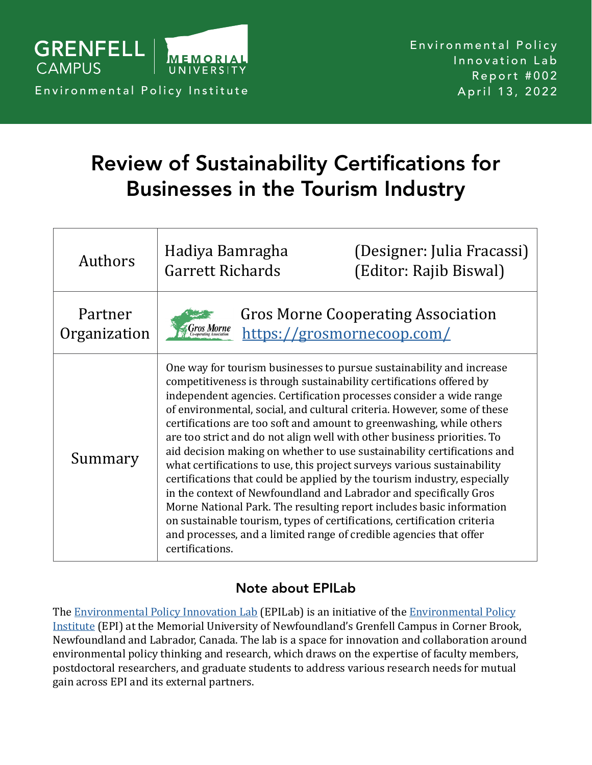

# Review of Sustainability Certifications for Businesses in the Tourism Industry

| <b>Authors</b>          | Hadiya Bamragha<br><b>Garrett Richards</b>                                                                                                                                                                                                                                                                                                                                                                                                                                                                                                                                                                                                                                                                                                                                                                                                                                                                                                                                                          | (Designer: Julia Fracassi)<br>(Editor: Rajib Biswal)                    |
|-------------------------|-----------------------------------------------------------------------------------------------------------------------------------------------------------------------------------------------------------------------------------------------------------------------------------------------------------------------------------------------------------------------------------------------------------------------------------------------------------------------------------------------------------------------------------------------------------------------------------------------------------------------------------------------------------------------------------------------------------------------------------------------------------------------------------------------------------------------------------------------------------------------------------------------------------------------------------------------------------------------------------------------------|-------------------------------------------------------------------------|
| Partner<br>Organization |                                                                                                                                                                                                                                                                                                                                                                                                                                                                                                                                                                                                                                                                                                                                                                                                                                                                                                                                                                                                     | <b>Gros Morne Cooperating Association</b><br>https://grosmornecoop.com/ |
| Summary                 | One way for tourism businesses to pursue sustainability and increase<br>competitiveness is through sustainability certifications offered by<br>independent agencies. Certification processes consider a wide range<br>of environmental, social, and cultural criteria. However, some of these<br>certifications are too soft and amount to greenwashing, while others<br>are too strict and do not align well with other business priorities. To<br>aid decision making on whether to use sustainability certifications and<br>what certifications to use, this project surveys various sustainability<br>certifications that could be applied by the tourism industry, especially<br>in the context of Newfoundland and Labrador and specifically Gros<br>Morne National Park. The resulting report includes basic information<br>on sustainable tourism, types of certifications, certification criteria<br>and processes, and a limited range of credible agencies that offer<br>certifications. |                                                                         |

## Note about EPILab

The [Environmental Policy Innovation Lab](https://grenfell-epi.com/epilab/) (EPILab) is an initiative of the [Environmental Policy](https://grenfell-epi.com) [Institute](https://grenfell-epi.com) (EPI) at the Memorial University of Newfoundland's Grenfell Campus in Corner Brook, Newfoundland and Labrador, Canada. The lab is a space for innovation and collaboration around environmental policy thinking and research, which draws on the expertise of faculty members, postdoctoral researchers, and graduate students to address various research needs for mutual gain across EPI and its external partners.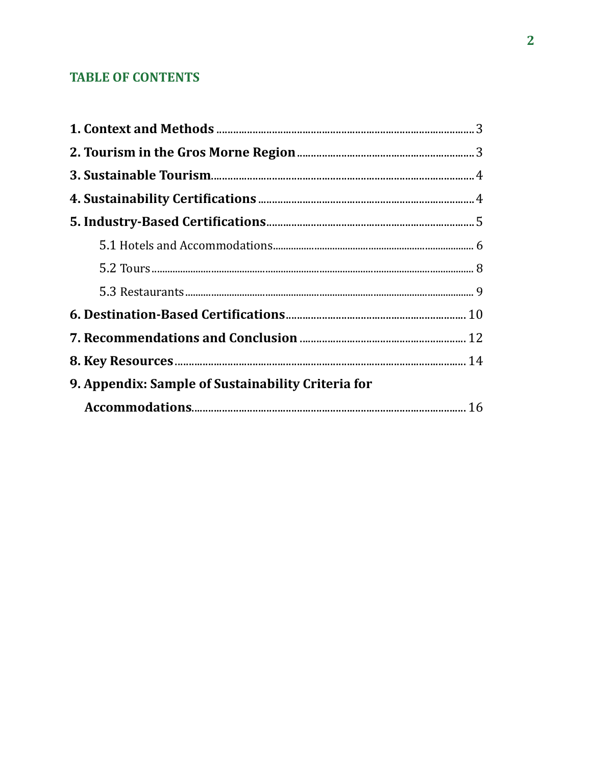# **TABLE OF CONTENTS**

| 9. Appendix: Sample of Sustainability Criteria for |  |
|----------------------------------------------------|--|
|                                                    |  |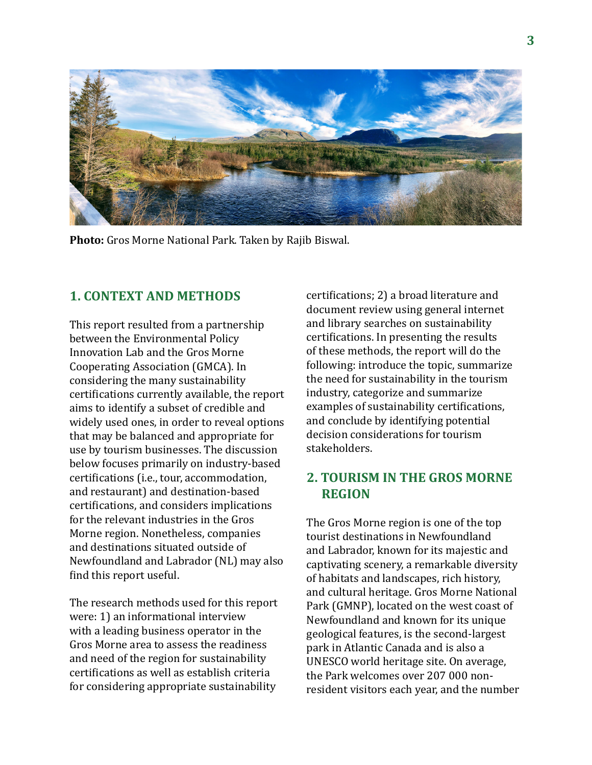

**Photo:** Gros Morne National Park. Taken by Rajib Biswal.

## **1. CONTEXT AND METHODS**

This report resulted from a partnership between the Environmental Policy Innovation Lab and the Gros Morne Cooperating Association (GMCA). In considering the many sustainability certifications currently available, the report aims to identify a subset of credible and widely used ones, in order to reveal options that may be balanced and appropriate for use by tourism businesses. The discussion below focuses primarily on industry-based certifications (i.e., tour, accommodation, and restaurant) and destination-based certifications, and considers implications for the relevant industries in the Gros Morne region. Nonetheless, companies and destinations situated outside of Newfoundland and Labrador (NL) may also find this report useful.

The research methods used for this report were: 1) an informational interview with a leading business operator in the Gros Morne area to assess the readiness and need of the region for sustainability certifications as well as establish criteria for considering appropriate sustainability

certifications; 2) a broad literature and document review using general internet and library searches on sustainability certifications. In presenting the results of these methods, the report will do the following: introduce the topic, summarize the need for sustainability in the tourism industry, categorize and summarize examples of sustainability certifications, and conclude by identifying potential decision considerations for tourism stakeholders.

## **2. TOURISM IN THE GROS MORNE REGION**

The Gros Morne region is one of the top tourist destinations in Newfoundland and Labrador, known for its majestic and captivating scenery, a remarkable diversity of habitats and landscapes, rich history, and cultural heritage. Gros Morne National Park (GMNP), located on the west coast of Newfoundland and known for its unique geological features, is the second-largest park in Atlantic Canada and is also a UNESCO world heritage site. On average, the Park welcomes over 207 000 nonresident visitors each year, and the number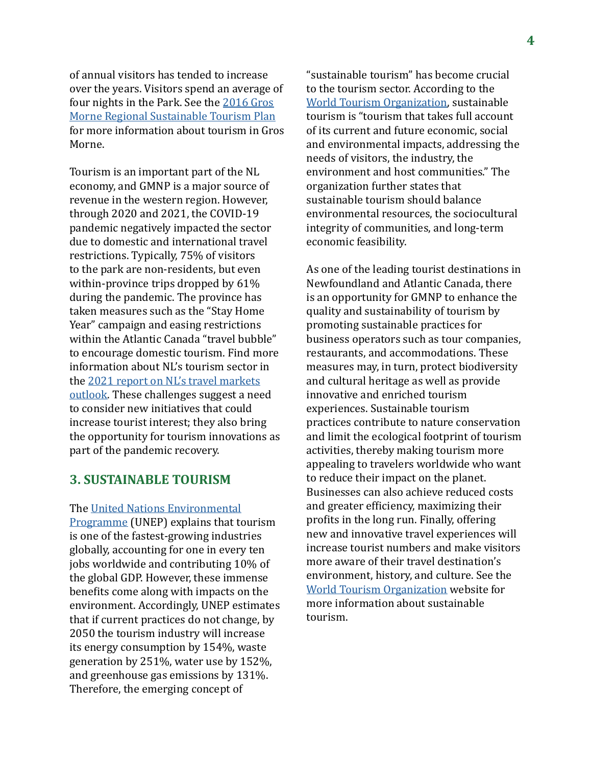of annual visitors has tended to increase over the years. Visitors spend an average of four nights in the Park. See the [2016 Gros](https://grosmornecoop.com/wp-content/uploads/FINAL-GM-STAR-Plan-Nov-23-2016.pdf) [Morne Regional Sustainable Tourism Plan](https://grosmornecoop.com/wp-content/uploads/FINAL-GM-STAR-Plan-Nov-23-2016.pdf) for more information about tourism in Gros Morne.

Tourism is an important part of the NL economy, and GMNP is a major source of revenue in the western region. However, through 2020 and 2021, the COVID-19 pandemic negatively impacted the sector due to domestic and international travel restrictions. Typically, 75% of visitors to the park are non-residents, but even within-province trips dropped by 61% during the pandemic. The province has taken measures such as the "Stay Home Year" campaign and easing restrictions within the Atlantic Canada "travel bubble" to encourage domestic tourism. Find more information about NL's tourism sector in the [2021 report on NL's travel markets](https://www.conferenceboard.ca/e-library/abstract.aspx?did=11043) [outlook](https://www.conferenceboard.ca/e-library/abstract.aspx?did=11043). These challenges suggest a need to consider new initiatives that could increase tourist interest; they also bring the opportunity for tourism innovations as part of the pandemic recovery.

## **3. SUSTAINABLE TOURISM**

The [United Nations Environmental](https://www.unep.org/explore-topics/resource-efficiency/what-we-do/responsible-industry/tourism)

[Programme](https://www.unep.org/explore-topics/resource-efficiency/what-we-do/responsible-industry/tourism) (UNEP) explains that tourism is one of the fastest-growing industries globally, accounting for one in every ten jobs worldwide and contributing 10% of the global GDP. However, these immense benefits come along with impacts on the environment. Accordingly, UNEP estimates that if current practices do not change, by 2050 the tourism industry will increase its energy consumption by 154%, waste generation by 251%, water use by 152%, and greenhouse gas emissions by 131%. Therefore, the emerging concept of

"sustainable tourism" has become crucial to the tourism sector. According to the [World Tourism Organization,](https://www.unwto.org/sustainable-development) sustainable tourism is "tourism that takes full account of its current and future economic, social and environmental impacts, addressing the needs of visitors, the industry, the environment and host communities." The organization further states that sustainable tourism should balance environmental resources, the sociocultural integrity of communities, and long-term economic feasibility.

As one of the leading tourist destinations in Newfoundland and Atlantic Canada, there is an opportunity for GMNP to enhance the quality and sustainability of tourism by promoting sustainable practices for business operators such as tour companies, restaurants, and accommodations. These measures may, in turn, protect biodiversity and cultural heritage as well as provide innovative and enriched tourism experiences. Sustainable tourism practices contribute to nature conservation and limit the ecological footprint of tourism activities, thereby making tourism more appealing to travelers worldwide who want to reduce their impact on the planet. Businesses can also achieve reduced costs and greater efficiency, maximizing their profits in the long run. Finally, offering new and innovative travel experiences will increase tourist numbers and make visitors more aware of their travel destination's environment, history, and culture. See the [World Tourism Organization](https://www.unwto.org/sustainable-development) website for more information about sustainable tourism.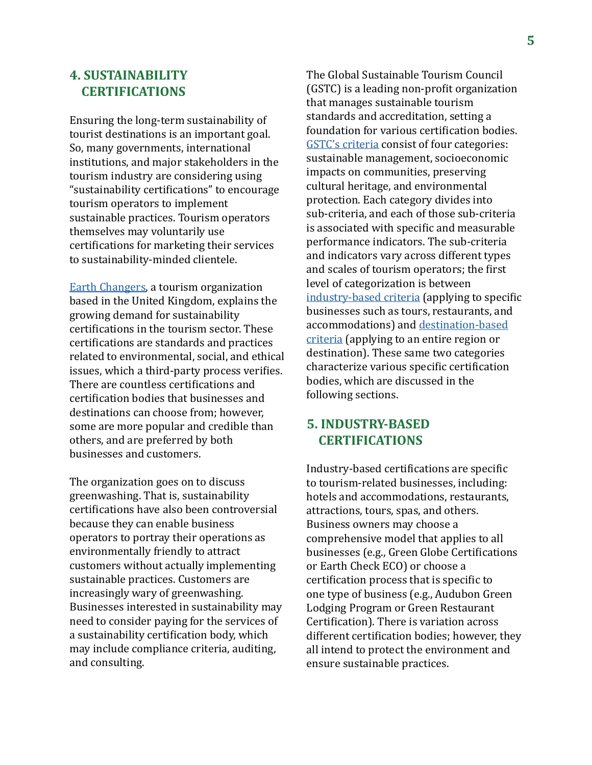## **4. SUSTAINABILITY CERTIFICATIONS**

Ensuring the long-term sustainability of tourist destinations is an important goal. So, many governments, international institutions, and major stakeholders in the tourism industry are considering using "sustainability certifications" to encourage tourism operators to implement sustainable practices. Tourism operators themselves may voluntarily use certifications for marketing their services to sustainability-minded clientele.

[Earth Changers,](https://www.earth-changers.com/blog/2018/9/25/greenwashing-in-sustainable-tourism-amp-responsible-travel) a tourism organization based in the United Kingdom, explains the growing demand for sustainability certifications in the tourism sector. These certifications are standards and practices related to environmental, social, and ethical issues, which a third-party process verifies. There are countless certifications and certification bodies that businesses and destinations can choose from; however, some are more popular and credible than others, and are preferred by both businesses and customers.

The organization goes on to discuss greenwashing. That is, sustainability certifications have also been controversial because they can enable business operators to portray their operations as environmentally friendly to attract customers without actually implementing sustainable practices. Customers are increasingly wary of greenwashing. Businesses interested in sustainability may need to consider paying for the services of a sustainability certification body, which may include compliance criteria, auditing, and consulting.

The Global Sustainable Tourism Council (GSTC) is a leading non-profit organization that manages sustainable tourism standards and accreditation, setting a foundation for various certification bodies. [GSTC's criteria](https://www.gstcouncil.org/gstc-criteria/) consist of four categories: sustainable management, socioeconomic impacts on communities, preserving cultural heritage, and environmental protection. Each category divides into sub-criteria, and each of those sub-criteria is associated with specific and measurable performance indicators. The sub-criteria and indicators vary across different types and scales of tourism operators; the first level of categorization is between [industry-based criteria](https://www.gstcouncil.org/gstc-criteria/gstc-industry-criteria/) (applying to specific businesses such as tours, restaurants, and accommodations) and [destination-based](https://www.gstcouncil.org/gstc-criteria/gstc-destination-criteria/) [criteria](https://www.gstcouncil.org/gstc-criteria/gstc-destination-criteria/) (applying to an entire region or destination). These same two categories characterize various specific certification bodies, which are discussed in the following sections.

## **5. INDUSTRY-BASED CERTIFICATIONS**

Industry-based certifications are specific to tourism-related businesses, including: hotels and accommodations, restaurants, attractions, tours, spas, and others. Business owners may choose a comprehensive model that applies to all businesses (e.g., Green Globe Certifications or Earth Check ECO) or choose a certification process that is specific to one type of business (e.g., Audubon Green Lodging Program or Green Restaurant Certification). There is variation across different certification bodies; however, they all intend to protect the environment and ensure sustainable practices.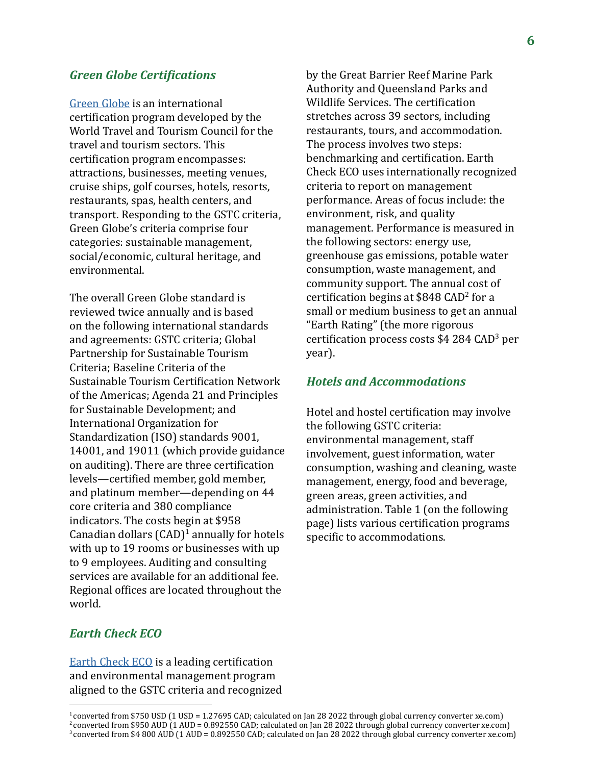#### *Green Globe Certifications*

[Green Globe](https://www.greenglobe.com/green-globe-certification/) is an international certification program developed by the World Travel and Tourism Council for the travel and tourism sectors. This certification program encompasses: attractions, businesses, meeting venues, cruise ships, golf courses, hotels, resorts, restaurants, spas, health centers, and transport. Responding to the GSTC criteria, Green Globe's criteria comprise four categories: sustainable management, social/economic, cultural heritage, and environmental.

The overall Green Globe standard is reviewed twice annually and is based on the following international standards and agreements: GSTC criteria; Global Partnership for Sustainable Tourism Criteria; Baseline Criteria of the Sustainable Tourism Certification Network of the Americas; Agenda 21 and Principles for Sustainable Development; and International Organization for Standardization (ISO) standards 9001, 14001, and 19011 (which provide guidance on auditing). There are three certification levels—certified member, gold member, and platinum member—depending on 44 core criteria and 380 compliance indicators. The costs begin at \$958 Canadian dollars  $(CAD)^1$  annually for hotels with up to 19 rooms or businesses with up to 9 employees. Auditing and consulting services are available for an additional fee. Regional offices are located throughout the world.

## *Earth Check ECO*

[Earth Check ECO](https://earthcheck.org/products-services/certification/earthcheck-eco/) is a leading certification and environmental management program aligned to the GSTC criteria and recognized

by the Great Barrier Reef Marine Park Authority and Queensland Parks and Wildlife Services. The certification stretches across 39 sectors, including restaurants, tours, and accommodation. The process involves two steps: benchmarking and certification. Earth Check ECO uses internationally recognized criteria to report on management performance. Areas of focus include: the environment, risk, and quality management. Performance is measured in the following sectors: energy use, greenhouse gas emissions, potable water consumption, waste management, and community support. The annual cost of certification begins at \$848 CAD<sup>2</sup> for a small or medium business to get an annual "Earth Rating" (the more rigorous certification process costs \$4 284 CAD<sup>3</sup> per year).

#### *Hotels and Accommodations*

Hotel and hostel certification may involve the following GSTC criteria: environmental management, staff involvement, guest information, water consumption, washing and cleaning, waste management, energy, food and beverage, green areas, green activities, and administration. Table 1 (on the following page) lists various certification programs specific to accommodations.

<sup>1</sup>converted from \$750 USD (1 USD = 1.27695 CAD; calculated on Jan 28 2022 through global currency converter xe.com) <sup>2</sup>converted from \$950 AUD (1 AUD = 0.892550 CAD; calculated on Jan 28 2022 through global currency converter xe.com)

<sup>3</sup>converted from \$4 800 AUD (1 AUD = 0.892550 CAD; calculated on Jan 28 2022 through global currency converter xe.com)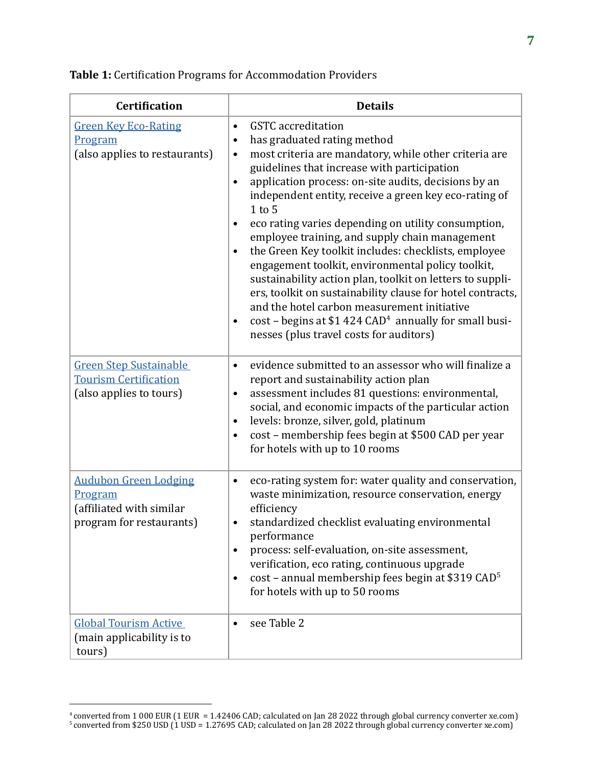| <b>Certification</b>                                                                            | <b>Details</b>                                                                                                                                                                                                                                                                                                                                                                                                                                                                                                                                                                                                                                                                                                                                                                                                                                    |
|-------------------------------------------------------------------------------------------------|---------------------------------------------------------------------------------------------------------------------------------------------------------------------------------------------------------------------------------------------------------------------------------------------------------------------------------------------------------------------------------------------------------------------------------------------------------------------------------------------------------------------------------------------------------------------------------------------------------------------------------------------------------------------------------------------------------------------------------------------------------------------------------------------------------------------------------------------------|
| <b>Green Key Eco-Rating</b><br>Program<br>(also applies to restaurants)                         | <b>GSTC</b> accreditation<br>$\bullet$<br>has graduated rating method<br>$\bullet$<br>most criteria are mandatory, while other criteria are<br>٠<br>guidelines that increase with participation<br>application process: on-site audits, decisions by an<br>independent entity, receive a green key eco-rating of<br>$1$ to $5$<br>eco rating varies depending on utility consumption,<br>employee training, and supply chain management<br>the Green Key toolkit includes: checklists, employee<br>engagement toolkit, environmental policy toolkit,<br>sustainability action plan, toolkit on letters to suppli-<br>ers, toolkit on sustainability clause for hotel contracts,<br>and the hotel carbon measurement initiative<br>$cost$ – begins at \$1 424 CAD <sup>4</sup> annually for small busi-<br>nesses (plus travel costs for auditors) |
| <b>Green Step Sustainable</b><br><b>Tourism Certification</b><br>(also applies to tours)        | evidence submitted to an assessor who will finalize a<br>$\bullet$<br>report and sustainability action plan<br>assessment includes 81 questions: environmental,<br>٠<br>social, and economic impacts of the particular action<br>levels: bronze, silver, gold, platinum<br>٠<br>cost – membership fees begin at \$500 CAD per year<br>٠<br>for hotels with up to 10 rooms                                                                                                                                                                                                                                                                                                                                                                                                                                                                         |
| <b>Audubon Green Lodging</b><br>Program<br>(affiliated with similar<br>program for restaurants) | eco-rating system for: water quality and conservation,<br>٠<br>waste minimization, resource conservation, energy<br>efficiency<br>standardized checklist evaluating environmental<br>performance<br>process: self-evaluation, on-site assessment,<br>$\bullet$<br>verification, eco rating, continuous upgrade<br>$cost$ – annual membership fees begin at \$319 CAD <sup>5</sup><br>٠<br>for hotels with up to 50 rooms                                                                                                                                                                                                                                                                                                                                                                                                                          |
| <b>Global Tourism Active</b><br>(main applicability is to<br>tours)                             | see Table 2                                                                                                                                                                                                                                                                                                                                                                                                                                                                                                                                                                                                                                                                                                                                                                                                                                       |

 $^4$ converted from 1 000 EUR (1 EUR = 1.42406 CAD; calculated on Jan 28 2022 through global currency converter xe.com)

<sup>5</sup>converted from \$250 USD (1 USD = 1.27695 CAD; calculated on Jan 28 2022 through global currency converter xe.com)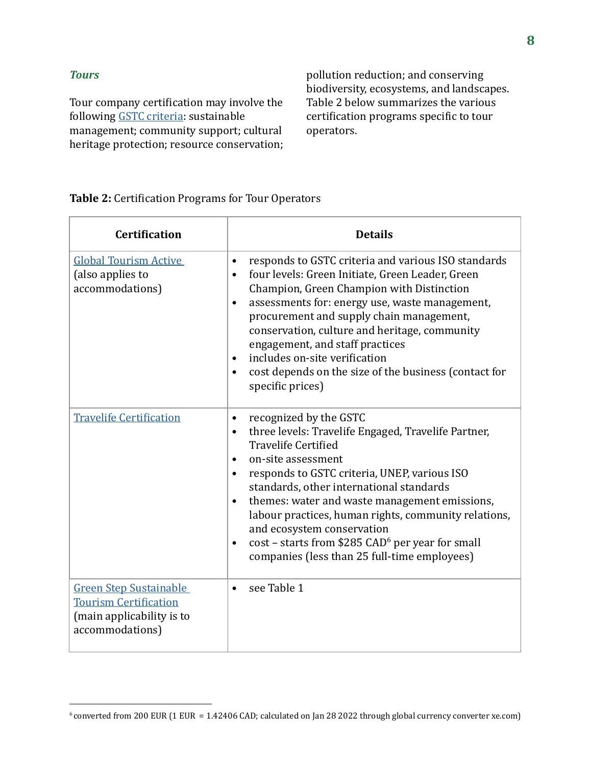#### *Tours*

Tour company certification may involve the following [GSTC criteria:](https://www.gstcouncil.org/gstc-criteria/gstc-industry-criteria-for-tour-operators/) sustainable management; community support; cultural heritage protection; resource conservation;

pollution reduction; and conserving biodiversity, ecosystems, and landscapes. Table 2 below summarizes the various certification programs specific to tour operators.

#### **Table 2:** Certification Programs for Tour Operators

| <b>Certification</b>                                                                                          | <b>Details</b>                                                                                                                                                                                                                                                                                                                                                                                                                                                                                                                           |
|---------------------------------------------------------------------------------------------------------------|------------------------------------------------------------------------------------------------------------------------------------------------------------------------------------------------------------------------------------------------------------------------------------------------------------------------------------------------------------------------------------------------------------------------------------------------------------------------------------------------------------------------------------------|
| <b>Global Tourism Active</b><br>(also applies to<br>accommodations)                                           | responds to GSTC criteria and various ISO standards<br>$\bullet$<br>four levels: Green Initiate, Green Leader, Green<br>$\bullet$<br>Champion, Green Champion with Distinction<br>assessments for: energy use, waste management,<br>procurement and supply chain management,<br>conservation, culture and heritage, community<br>engagement, and staff practices<br>includes on-site verification<br>$\bullet$<br>cost depends on the size of the business (contact for<br>specific prices)                                              |
| <b>Travelife Certification</b>                                                                                | recognized by the GSTC<br>$\bullet$<br>three levels: Travelife Engaged, Travelife Partner,<br><b>Travelife Certified</b><br>on-site assessment<br>$\bullet$<br>responds to GSTC criteria, UNEP, various ISO<br>standards, other international standards<br>themes: water and waste management emissions,<br>$\bullet$<br>labour practices, human rights, community relations,<br>and ecosystem conservation<br>cost - starts from \$285 CAD <sup>6</sup> per year for small<br>$\bullet$<br>companies (less than 25 full-time employees) |
| <b>Green Step Sustainable</b><br><b>Tourism Certification</b><br>(main applicability is to<br>accommodations) | see Table 1<br>$\bullet$                                                                                                                                                                                                                                                                                                                                                                                                                                                                                                                 |

<sup>&</sup>lt;sup>6</sup> converted from 200 EUR (1 EUR = 1.42406 CAD; calculated on Jan 28 2022 through global currency converter xe.com)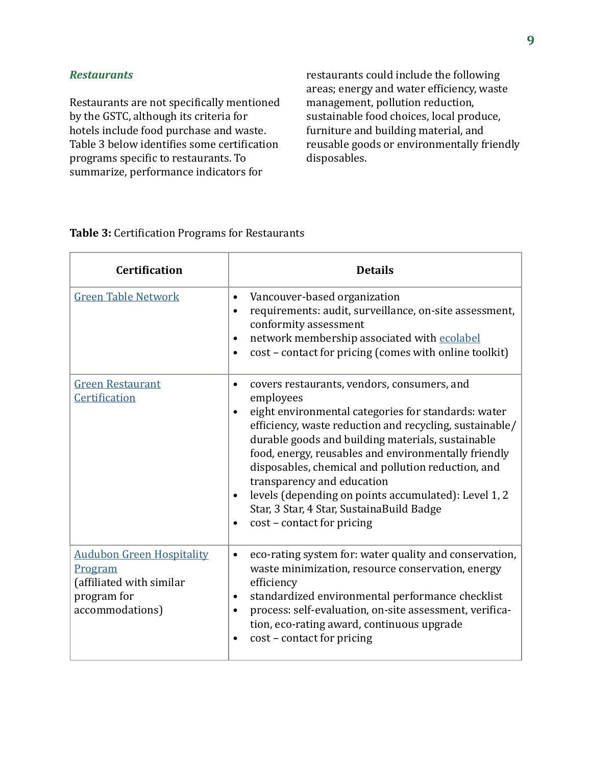#### *Restaurants*

Restaurants are not specifically mentioned by the GSTC, although its criteria for hotels include food purchase and waste. Table 3 below identifies some certification programs specific to restaurants. To summarize, performance indicators for

restaurants could include the following areas; energy and water efficiency, waste management, pollution reduction, sustainable food choices, local produce, furniture and building material, and reusable goods or environmentally friendly disposables.

| <b>Certification</b>                                                                                      | <b>Details</b>                                                                                                                                                                                                                                                                                                                                                                                                                                                                                                                                             |
|-----------------------------------------------------------------------------------------------------------|------------------------------------------------------------------------------------------------------------------------------------------------------------------------------------------------------------------------------------------------------------------------------------------------------------------------------------------------------------------------------------------------------------------------------------------------------------------------------------------------------------------------------------------------------------|
| <b>Green Table Network</b>                                                                                | Vancouver-based organization<br>$\bullet$<br>requirements: audit, surveillance, on-site assessment,<br>$\bullet$<br>conformity assessment<br>network membership associated with ecolabel<br>$\bullet$<br>cost - contact for pricing (comes with online toolkit)<br>$\bullet$                                                                                                                                                                                                                                                                               |
| <b>Green Restaurant</b><br>Certification                                                                  | covers restaurants, vendors, consumers, and<br>٠<br>employees<br>eight environmental categories for standards: water<br>$\bullet$<br>efficiency, waste reduction and recycling, sustainable/<br>durable goods and building materials, sustainable<br>food, energy, reusables and environmentally friendly<br>disposables, chemical and pollution reduction, and<br>transparency and education<br>levels (depending on points accumulated): Level 1, 2<br>$\bullet$<br>Star, 3 Star, 4 Star, SustainaBuild Badge<br>cost - contact for pricing<br>$\bullet$ |
| <b>Audubon Green Hospitality</b><br>Program<br>(affiliated with similar<br>program for<br>accommodations) | eco-rating system for: water quality and conservation,<br>$\bullet$<br>waste minimization, resource conservation, energy<br>efficiency<br>standardized environmental performance checklist<br>$\bullet$<br>process: self-evaluation, on-site assessment, verifica-<br>$\bullet$<br>tion, eco-rating award, continuous upgrade<br>cost - contact for pricing                                                                                                                                                                                                |

#### **Table 3:** Certification Programs for Restaurants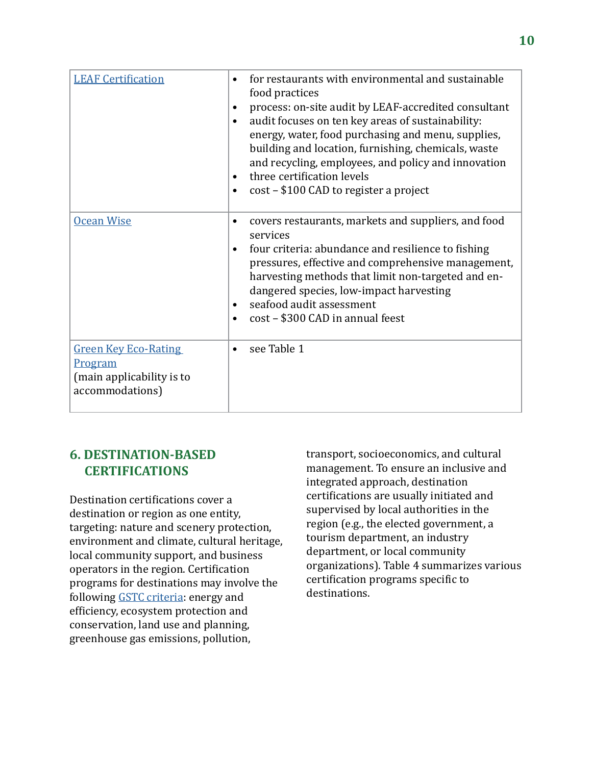| <b>LEAF Certification</b>                                                              | for restaurants with environmental and sustainable<br>٠<br>food practices<br>process: on-site audit by LEAF-accredited consultant<br>٠<br>audit focuses on ten key areas of sustainability:<br>٠<br>energy, water, food purchasing and menu, supplies,<br>building and location, furnishing, chemicals, waste<br>and recycling, employees, and policy and innovation<br>three certification levels<br>$\bullet$<br>cost - \$100 CAD to register a project<br>$\bullet$ |
|----------------------------------------------------------------------------------------|------------------------------------------------------------------------------------------------------------------------------------------------------------------------------------------------------------------------------------------------------------------------------------------------------------------------------------------------------------------------------------------------------------------------------------------------------------------------|
| <b>Ocean Wise</b>                                                                      | covers restaurants, markets and suppliers, and food<br>٠<br>services<br>four criteria: abundance and resilience to fishing<br>$\bullet$<br>pressures, effective and comprehensive management,<br>harvesting methods that limit non-targeted and en-<br>dangered species, low-impact harvesting<br>seafood audit assessment<br>٠<br>cost - \$300 CAD in annual feest                                                                                                    |
| <b>Green Key Eco-Rating</b><br>Program<br>(main applicability is to<br>accommodations) | see Table 1                                                                                                                                                                                                                                                                                                                                                                                                                                                            |

## **6. DESTINATION-BASED CERTIFICATIONS**

Destination certifications cover a destination or region as one entity, targeting: nature and scenery protection, environment and climate, cultural heritage, local community support, and business operators in the region. Certification programs for destinations may involve the following [GSTC criteria:](https://www.gstcouncil.org/gstc-criteria/gstc-destination-criteria/) energy and efficiency, ecosystem protection and conservation, land use and planning, greenhouse gas emissions, pollution,

transport, socioeconomics, and cultural management. To ensure an inclusive and integrated approach, destination certifications are usually initiated and supervised by local authorities in the region (e.g., the elected government, a tourism department, an industry department, or local community organizations). Table 4 summarizes various certification programs specific to destinations.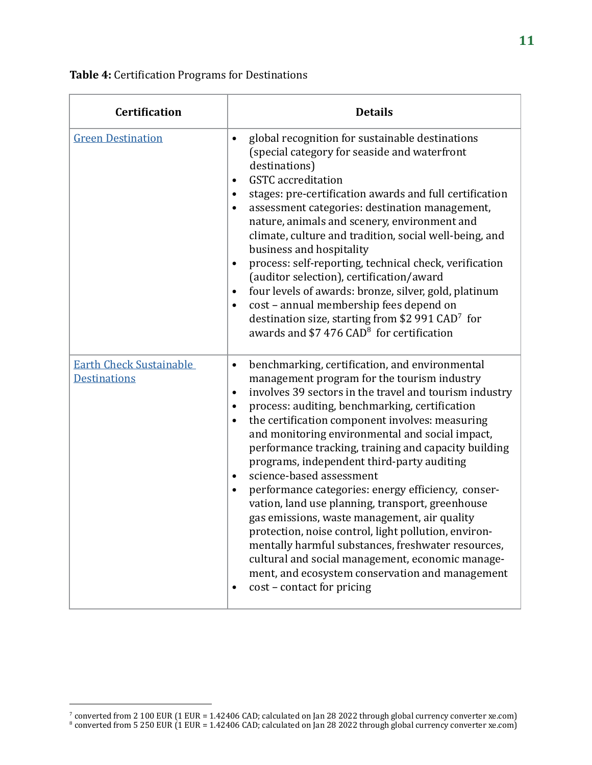| <b>Certification</b>                                  | <b>Details</b>                                                                                                                                                                                                                                                                                                                                                                                                                                                                                                                                                                                                                                                                                                                                                                                                                                                                                                                                    |
|-------------------------------------------------------|---------------------------------------------------------------------------------------------------------------------------------------------------------------------------------------------------------------------------------------------------------------------------------------------------------------------------------------------------------------------------------------------------------------------------------------------------------------------------------------------------------------------------------------------------------------------------------------------------------------------------------------------------------------------------------------------------------------------------------------------------------------------------------------------------------------------------------------------------------------------------------------------------------------------------------------------------|
| <b>Green Destination</b>                              | global recognition for sustainable destinations<br>$\bullet$<br>(special category for seaside and waterfront<br>destinations)<br><b>GSTC</b> accreditation<br>$\bullet$<br>stages: pre-certification awards and full certification<br>٠<br>assessment categories: destination management,<br>$\bullet$<br>nature, animals and scenery, environment and<br>climate, culture and tradition, social well-being, and<br>business and hospitality<br>process: self-reporting, technical check, verification<br>$\bullet$<br>(auditor selection), certification/award<br>four levels of awards: bronze, silver, gold, platinum<br>$\bullet$<br>cost - annual membership fees depend on<br>$\bullet$<br>destination size, starting from \$2 991 CAD <sup>7</sup> for<br>awards and $$7476$ CAD <sup>8</sup> for certification                                                                                                                            |
| <b>Earth Check Sustainable</b><br><b>Destinations</b> | benchmarking, certification, and environmental<br>$\bullet$<br>management program for the tourism industry<br>involves 39 sectors in the travel and tourism industry<br>$\bullet$<br>process: auditing, benchmarking, certification<br>$\bullet$<br>the certification component involves: measuring<br>$\bullet$<br>and monitoring environmental and social impact,<br>performance tracking, training and capacity building<br>programs, independent third-party auditing<br>science-based assessment<br>$\bullet$<br>performance categories: energy efficiency, conser-<br>$\bullet$<br>vation, land use planning, transport, greenhouse<br>gas emissions, waste management, air quality<br>protection, noise control, light pollution, environ-<br>mentally harmful substances, freshwater resources,<br>cultural and social management, economic manage-<br>ment, and ecosystem conservation and management<br>cost - contact for pricing<br>٠ |

#### **Table 4:** Certification Programs for Destinations

converted from 2 100 EUR (1 EUR = 1.42406 CAD; calculated on Jan 28 2022 through global currency converter xe.com)

 $^8$  converted from 5 250 EUR (1 EUR = 1.42406 CAD; calculated on Jan 28 2022 through global currency converter xe.com)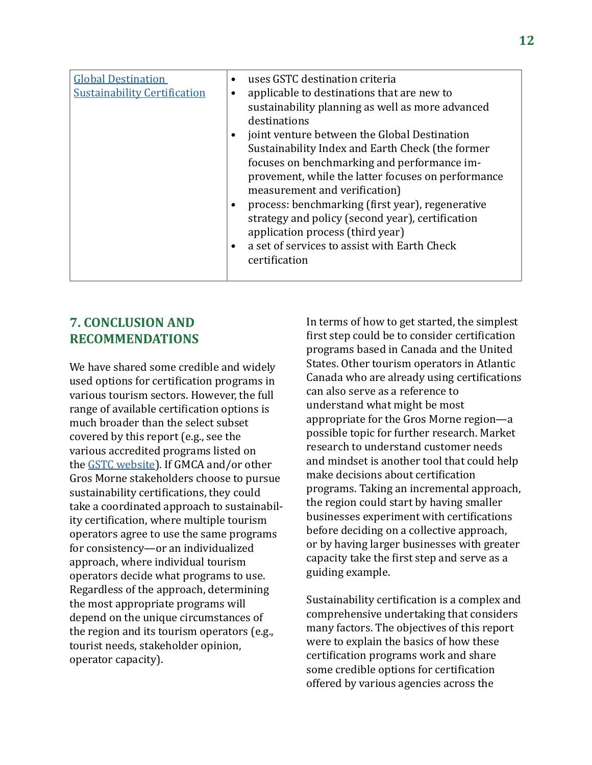| <b>Global Destination</b><br><b>Sustainability Certification</b> | uses GSTC destination criteria<br>$\bullet$<br>applicable to destinations that are new to<br>sustainability planning as well as more advanced<br>destinations<br>joint venture between the Global Destination<br>Sustainability Index and Earth Check (the former<br>focuses on benchmarking and performance im-<br>provement, while the latter focuses on performance<br>measurement and verification)<br>process: benchmarking (first year), regenerative<br>strategy and policy (second year), certification<br>application process (third year)<br>a set of services to assist with Earth Check<br>certification |
|------------------------------------------------------------------|----------------------------------------------------------------------------------------------------------------------------------------------------------------------------------------------------------------------------------------------------------------------------------------------------------------------------------------------------------------------------------------------------------------------------------------------------------------------------------------------------------------------------------------------------------------------------------------------------------------------|
|------------------------------------------------------------------|----------------------------------------------------------------------------------------------------------------------------------------------------------------------------------------------------------------------------------------------------------------------------------------------------------------------------------------------------------------------------------------------------------------------------------------------------------------------------------------------------------------------------------------------------------------------------------------------------------------------|

## **7. CONCLUSION AND RECOMMENDATIONS**

We have shared some credible and widely used options for certification programs in various tourism sectors. However, the full range of available certification options is much broader than the select subset covered by this report (e.g., see the various accredited programs listed on the [GSTC website\)](https://www.gstcouncil.org/certification/gstc-accredited-certification-bodies/). If GMCA and/or other Gros Morne stakeholders choose to pursue sustainability certifications, they could take a coordinated approach to sustainability certification, where multiple tourism operators agree to use the same programs for consistency—or an individualized approach, where individual tourism operators decide what programs to use. Regardless of the approach, determining the most appropriate programs will depend on the unique circumstances of the region and its tourism operators (e.g., tourist needs, stakeholder opinion, operator capacity).

In terms of how to get started, the simplest first step could be to consider certification programs based in Canada and the United States. Other tourism operators in Atlantic Canada who are already using certifications can also serve as a reference to understand what might be most appropriate for the Gros Morne region—a possible topic for further research. Market research to understand customer needs and mindset is another tool that could help make decisions about certification programs. Taking an incremental approach, the region could start by having smaller businesses experiment with certifications before deciding on a collective approach, or by having larger businesses with greater capacity take the first step and serve as a guiding example.

Sustainability certification is a complex and comprehensive undertaking that considers many factors. The objectives of this report were to explain the basics of how these certification programs work and share some credible options for certification offered by various agencies across the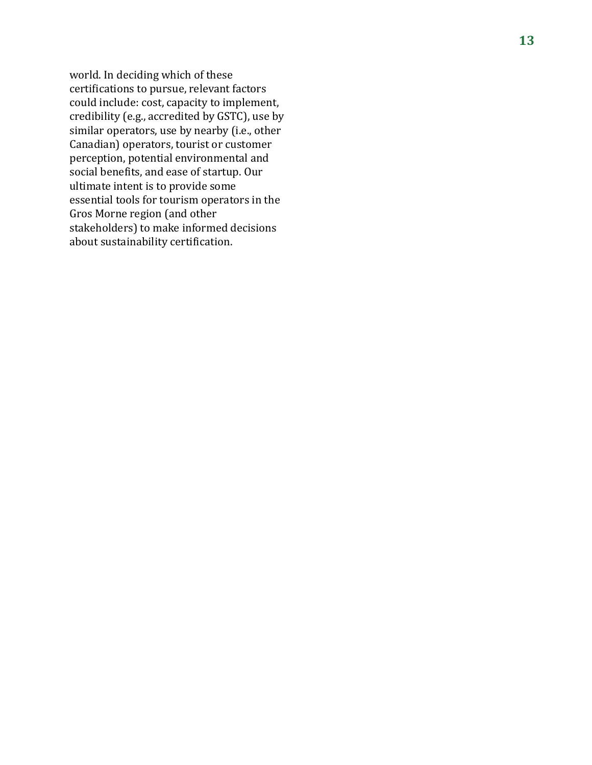world. In deciding which of these certifications to pursue, relevant factors could include: cost, capacity to implement, credibility (e.g., accredited by GSTC), use by similar operators, use by nearby (i.e., other Canadian) operators, tourist or customer perception, potential environmental and social benefits, and ease of startup. Our ultimate intent is to provide some essential tools for tourism operators in the Gros Morne region (and other stakeholders) to make informed decisions about sustainability certification.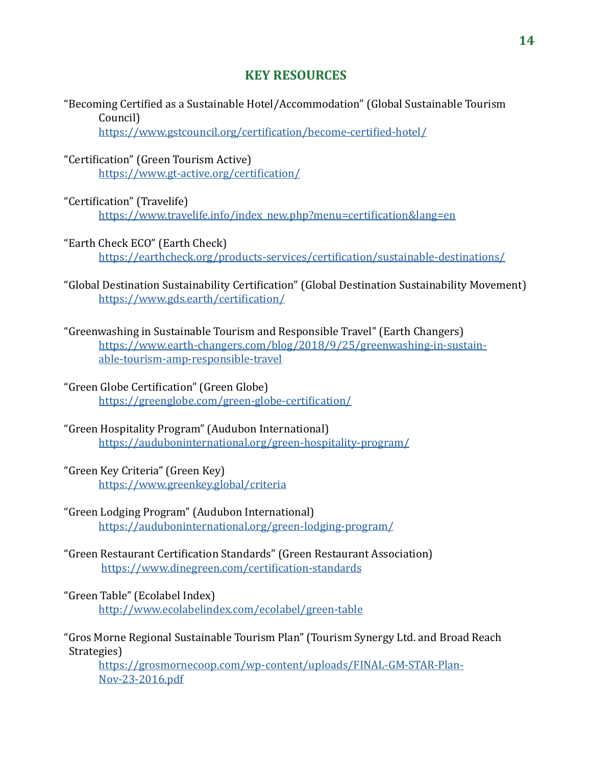## **KEY RESOURCES**

"Becoming Certified as a Sustainable Hotel/Accommodation" (Global Sustainable Tourism Council)

https://www.gstcouncil.org/certification/become-certified-hotel/

- "Certification" (Green Tourism Active) <https://www.gt-active.org/certification/>
- "Certification" (Travelife)

[https://www.travelife.info/index\\_new.php?menu=certification&lang=en](https://www.travelife.info/index_new.php?menu=certification&lang=en)

- "Earth Check ECO" (Earth Check) <https://earthcheck.org/products-services/certification/sustainable-destinations/>
- "Global Destination Sustainability Certification" (Global Destination Sustainability Movement) <https://www.gds.earth/certification/>
- "Greenwashing in Sustainable Tourism and Responsible Travel" (Earth Changers) [https://www.earth-changers.com/blog/2018/9/25/greenwashing-in-sustain](https://www.earth-changers.com/blog/2018/9/25/greenwashing-in-sustainable-tourism-amp-responsible-travel)[able-tourism-amp-responsible-travel](https://www.earth-changers.com/blog/2018/9/25/greenwashing-in-sustainable-tourism-amp-responsible-travel)
- "Green Globe Certification" (Green Globe) <https://greenglobe.com/green-globe-certification/>
- "Green Hospitality Program" (Audubon International) <https://auduboninternational.org/green-hospitality-program/>
- "Green Key Criteria" (Green Key) <https://www.greenkey.global/criteria>
- "Green Lodging Program" (Audubon International) <https://auduboninternational.org/green-lodging-program/>
- "Green Restaurant Certification Standards" (Green Restaurant Association) <https://www.dinegreen.com/certification-standards>

"Green Table" (Ecolabel Index) <http://www.ecolabelindex.com/ecolabel/green-table>

"Gros Morne Regional Sustainable Tourism Plan" (Tourism Synergy Ltd. and Broad Reach Strategies)

[https://grosmornecoop.com/wp-content/uploads/FINAL-GM-STAR-Plan-](https://grosmornecoop.com/wp-content/uploads/FINAL-GM-STAR-Plan-Nov-23-2016.pdf)[Nov-23-2016.pdf](https://grosmornecoop.com/wp-content/uploads/FINAL-GM-STAR-Plan-Nov-23-2016.pdf)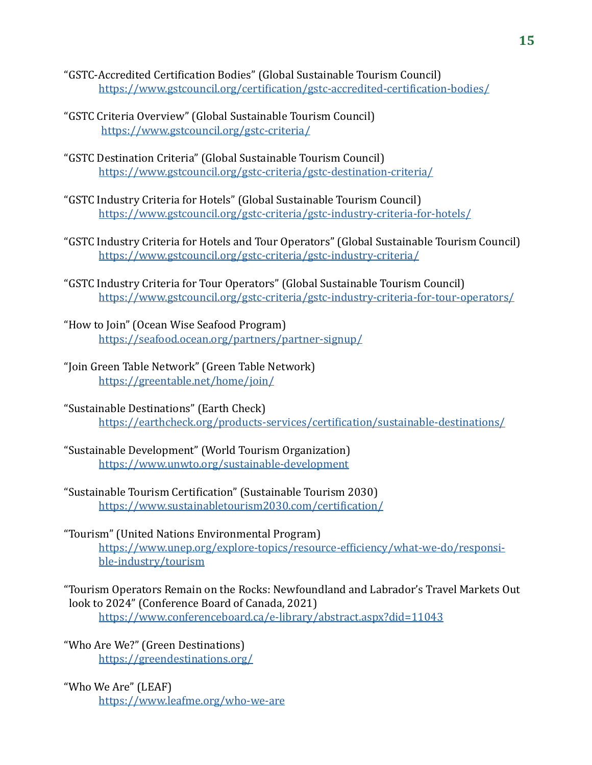- "GSTC-Accredited Certification Bodies" (Global Sustainable Tourism Council) <https://www.gstcouncil.org/certification/gstc-accredited-certification-bodies/>
- "GSTC Criteria Overview" (Global Sustainable Tourism Council) <https://www.gstcouncil.org/gstc-criteria/>
- "GSTC Destination Criteria" (Global Sustainable Tourism Council) <https://www.gstcouncil.org/gstc-criteria/gstc-destination-criteria/>
- "GSTC Industry Criteria for Hotels" (Global Sustainable Tourism Council) <https://www.gstcouncil.org/gstc-criteria/gstc-industry-criteria-for-hotels/>
- "GSTC Industry Criteria for Hotels and Tour Operators" (Global Sustainable Tourism Council) <https://www.gstcouncil.org/gstc-criteria/gstc-industry-criteria/>
- "GSTC Industry Criteria for Tour Operators" (Global Sustainable Tourism Council) <https://www.gstcouncil.org/gstc-criteria/gstc-industry-criteria-for-tour-operators/>
- "How to Join" (Ocean Wise Seafood Program) <https://seafood.ocean.org/partners/partner-signup/>
- "Join Green Table Network" (Green Table Network) <https://greentable.net/home/join/>
- "Sustainable Destinations" (Earth Check) <https://earthcheck.org/products-services/certification/sustainable-destinations/>
- "Sustainable Development" (World Tourism Organization) <https://www.unwto.org/sustainable-development>
- "Sustainable Tourism Certification" (Sustainable Tourism 2030) <https://www.sustainabletourism2030.com/certification/>
- "Tourism" (United Nations Environmental Program) [https://www.unep.org/explore-topics/resource-efficiency/what-we-do/responsi](https://www.unep.org/explore-topics/resource-efficiency/what-we-do/responsible-industry/tourism)[ble-industry/tourism](https://www.unep.org/explore-topics/resource-efficiency/what-we-do/responsible-industry/tourism)
- "Tourism Operators Remain on the Rocks: Newfoundland and Labrador's Travel Markets Out look to 2024" (Conference Board of Canada, 2021) <https://www.conferenceboard.ca/e-library/abstract.aspx?did=11043>

"Who Are We?" (Green Destinations) <https://greendestinations.org/>

"Who We Are" (LEAF) <https://www.leafme.org/who-we-are>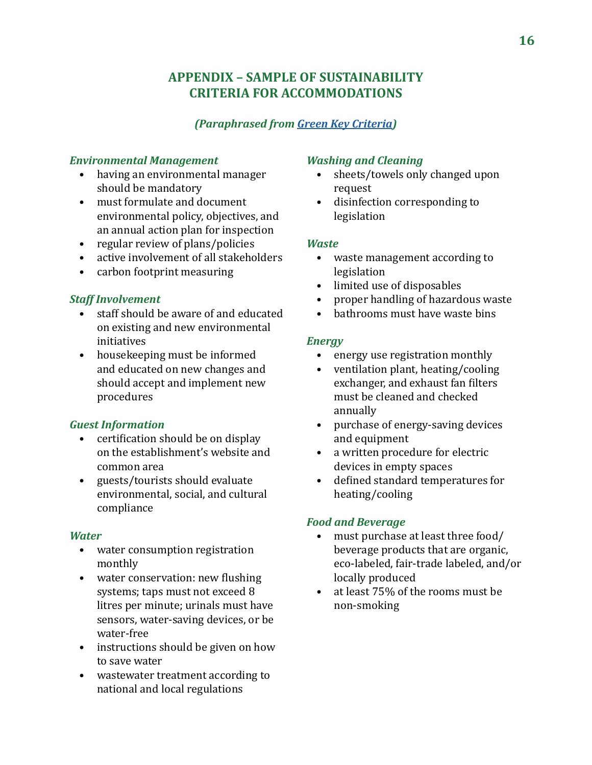## **APPENDIX – SAMPLE OF SUSTAINABILITY CRITERIA FOR ACCOMMODATIONS**

## *(Paraphrased from [Green Key Criteria](https://www.greenkey.global/criteria))*

#### *Environmental Management*

- having an environmental manager should be mandatory
- must formulate and document environmental policy, objectives, and an annual action plan for inspection
- regular review of plans/policies
- active involvement of all stakeholders
- carbon footprint measuring

## *Staff Involvement*

- staff should be aware of and educated on existing and new environmental initiatives
- housekeeping must be informed and educated on new changes and should accept and implement new procedures

## *Guest Information*

- certification should be on display on the establishment's website and common area
- guests/tourists should evaluate environmental, social, and cultural compliance

## *Water*

- water consumption registration monthly
- water conservation: new flushing systems; taps must not exceed 8 litres per minute; urinals must have sensors, water-saving devices, or be water-free
- instructions should be given on how to save water
- wastewater treatment according to national and local regulations

## *Washing and Cleaning*

- sheets/towels only changed upon request
- disinfection corresponding to legislation

#### *Waste*

- waste management according to legislation
- limited use of disposables
- proper handling of hazardous waste
- bathrooms must have waste bins

## *Energy*

- energy use registration monthly
- ventilation plant, heating/cooling exchanger, and exhaust fan filters must be cleaned and checked annually
- purchase of energy-saving devices and equipment
- a written procedure for electric devices in empty spaces
- defined standard temperatures for heating/cooling

## *Food and Beverage*

- must purchase at least three food/ beverage products that are organic, eco-labeled, fair-trade labeled, and/or locally produced
- at least 75% of the rooms must be non-smoking